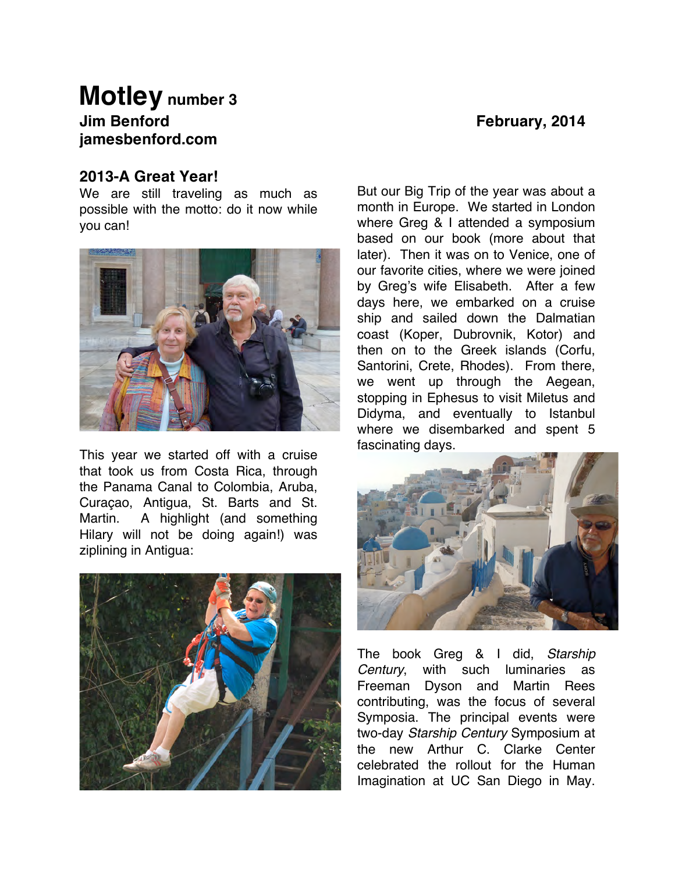# **Motley number 3 Jim Benford February, 2014**

**jamesbenford.com**

## **2013-A Great Year!**

We are still traveling as much as possible with the motto: do it now while you can!



This year we started off with a cruise that took us from Costa Rica, through the Panama Canal to Colombia, Aruba, Curaçao, Antigua, St. Barts and St. Martin. A highlight (and something Hilary will not be doing again!) was ziplining in Antigua:



But our Big Trip of the year was about a month in Europe. We started in London where Greg & I attended a symposium based on our book (more about that later). Then it was on to Venice, one of our favorite cities, where we were joined by Greg's wife Elisabeth. After a few days here, we embarked on a cruise ship and sailed down the Dalmatian coast (Koper, Dubrovnik, Kotor) and then on to the Greek islands (Corfu, Santorini, Crete, Rhodes). From there, we went up through the Aegean, stopping in Ephesus to visit Miletus and Didyma, and eventually to Istanbul where we disembarked and spent 5 fascinating days.



The book Greg & I did, *Starship Century*, with such luminaries as Freeman Dyson and Martin Rees contributing, was the focus of several Symposia. The principal events were two-day *Starship Century* Symposium at the new Arthur C. Clarke Center celebrated the rollout for the Human Imagination at UC San Diego in May.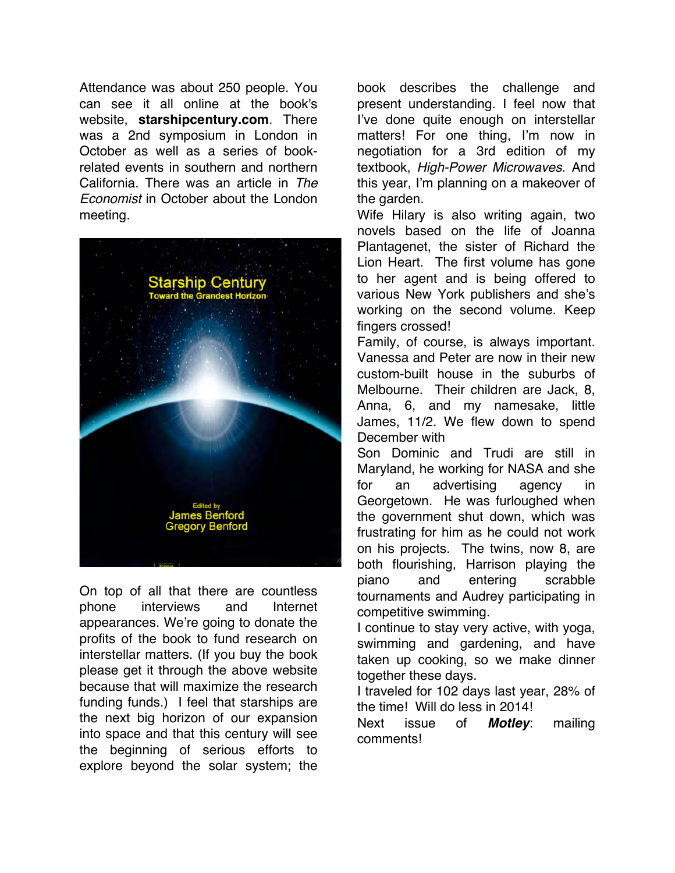Attendance was about 250 people. You can see it all online at the book's website, **starshipcentury.com**. There was a 2nd symposium in London in October as well as a series of bookrelated events in southern and northern California. There was an article in *The Economist* in October about the London meeting.



On top of all that there are countless phone interviews and Internet appearances. We're going to donate the profits of the book to fund research on interstellar matters. (If you buy the book please get it through the above website because that will maximize the research funding funds.) I feel that starships are the next big horizon of our expansion into space and that this century will see the beginning of serious efforts to explore beyond the solar system; the book describes the challenge and present understanding. I feel now that I've done quite enough on interstellar matters! For one thing, I'm now in negotiation for a 3rd edition of my textbook, *High-Power Microwaves*. And this year, I'm planning on a makeover of the garden.

Wife Hilary is also writing again, two novels based on the life of Joanna Plantagenet, the sister of Richard the Lion Heart. The first volume has gone to her agent and is being offered to various New York publishers and she's working on the second volume. Keep fingers crossed!

Family, of course, is always important. Vanessa and Peter are now in their new custom-built house in the suburbs of Melbourne. Their children are Jack, 8, Anna, 6, and my namesake, little James, 11/2. We flew down to spend December with

Son Dominic and Trudi are still in Maryland, he working for NASA and she for an advertising agency in Georgetown. He was furloughed when the government shut down, which was frustrating for him as he could not work on his projects. The twins, now 8, are both flourishing, Harrison playing the piano and entering scrabble tournaments and Audrey participating in competitive swimming.

I continue to stay very active, with yoga, swimming and gardening, and have taken up cooking, so we make dinner together these days.

I traveled for 102 days last year, 28% of the time! Will do less in 2014!

Next issue of *Motley*: mailing comments!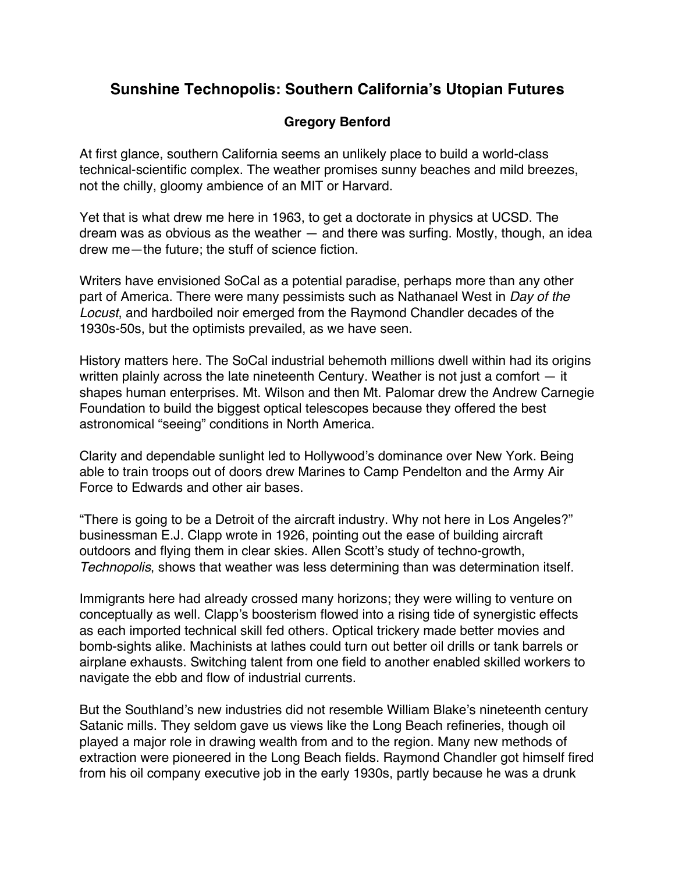# **Sunshine Technopolis: Southern California's Utopian Futures**

### **Gregory Benford**

At first glance, southern California seems an unlikely place to build a world-class technical-scientific complex. The weather promises sunny beaches and mild breezes, not the chilly, gloomy ambience of an MIT or Harvard.

Yet that is what drew me here in 1963, to get a doctorate in physics at UCSD. The dream was as obvious as the weather — and there was surfing. Mostly, though, an idea drew me—the future; the stuff of science fiction.

Writers have envisioned SoCal as a potential paradise, perhaps more than any other part of America. There were many pessimists such as Nathanael West in *Day of the Locust*, and hardboiled noir emerged from the Raymond Chandler decades of the 1930s-50s, but the optimists prevailed, as we have seen.

History matters here. The SoCal industrial behemoth millions dwell within had its origins written plainly across the late nineteenth Century. Weather is not just a comfort — it shapes human enterprises. Mt. Wilson and then Mt. Palomar drew the Andrew Carnegie Foundation to build the biggest optical telescopes because they offered the best astronomical "seeing" conditions in North America.

Clarity and dependable sunlight led to Hollywood's dominance over New York. Being able to train troops out of doors drew Marines to Camp Pendelton and the Army Air Force to Edwards and other air bases.

"There is going to be a Detroit of the aircraft industry. Why not here in Los Angeles?" businessman E.J. Clapp wrote in 1926, pointing out the ease of building aircraft outdoors and flying them in clear skies. Allen Scott's study of techno-growth, *Technopolis*, shows that weather was less determining than was determination itself.

Immigrants here had already crossed many horizons; they were willing to venture on conceptually as well. Clapp's boosterism flowed into a rising tide of synergistic effects as each imported technical skill fed others. Optical trickery made better movies and bomb-sights alike. Machinists at lathes could turn out better oil drills or tank barrels or airplane exhausts. Switching talent from one field to another enabled skilled workers to navigate the ebb and flow of industrial currents.

But the Southland's new industries did not resemble William Blake's nineteenth century Satanic mills. They seldom gave us views like the Long Beach refineries, though oil played a major role in drawing wealth from and to the region. Many new methods of extraction were pioneered in the Long Beach fields. Raymond Chandler got himself fired from his oil company executive job in the early 1930s, partly because he was a drunk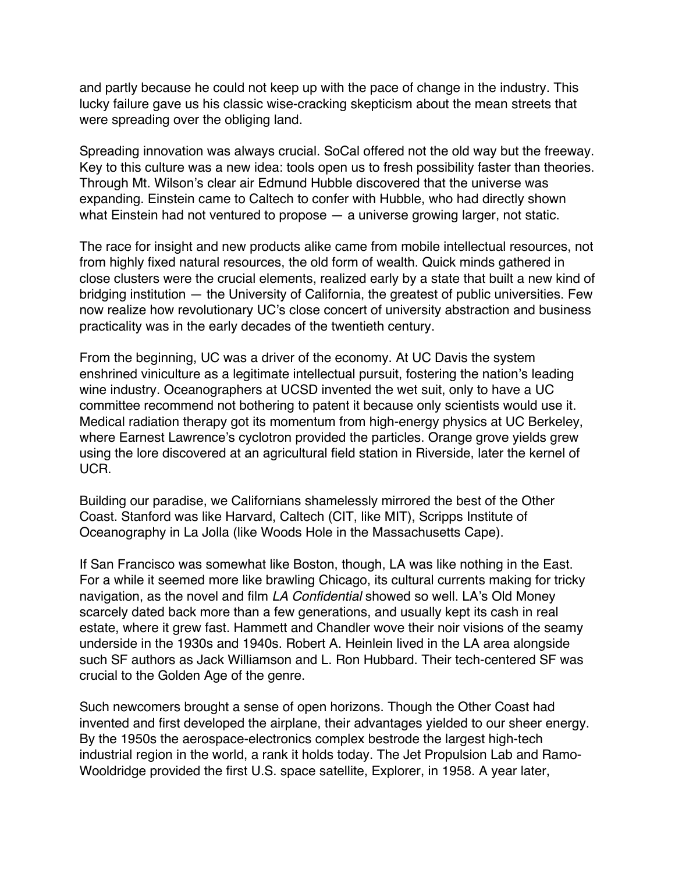and partly because he could not keep up with the pace of change in the industry. This lucky failure gave us his classic wise-cracking skepticism about the mean streets that were spreading over the obliging land.

Spreading innovation was always crucial. SoCal offered not the old way but the freeway. Key to this culture was a new idea: tools open us to fresh possibility faster than theories. Through Mt. Wilson's clear air Edmund Hubble discovered that the universe was expanding. Einstein came to Caltech to confer with Hubble, who had directly shown what Einstein had not ventured to propose — a universe growing larger, not static.

The race for insight and new products alike came from mobile intellectual resources, not from highly fixed natural resources, the old form of wealth. Quick minds gathered in close clusters were the crucial elements, realized early by a state that built a new kind of bridging institution — the University of California, the greatest of public universities. Few now realize how revolutionary UC's close concert of university abstraction and business practicality was in the early decades of the twentieth century.

From the beginning, UC was a driver of the economy. At UC Davis the system enshrined viniculture as a legitimate intellectual pursuit, fostering the nation's leading wine industry. Oceanographers at UCSD invented the wet suit, only to have a UC committee recommend not bothering to patent it because only scientists would use it. Medical radiation therapy got its momentum from high-energy physics at UC Berkeley, where Earnest Lawrence's cyclotron provided the particles. Orange grove yields grew using the lore discovered at an agricultural field station in Riverside, later the kernel of UCR.

Building our paradise, we Californians shamelessly mirrored the best of the Other Coast. Stanford was like Harvard, Caltech (CIT, like MIT), Scripps Institute of Oceanography in La Jolla (like Woods Hole in the Massachusetts Cape).

If San Francisco was somewhat like Boston, though, LA was like nothing in the East. For a while it seemed more like brawling Chicago, its cultural currents making for tricky navigation, as the novel and film *LA Confidential* showed so well. LA's Old Money scarcely dated back more than a few generations, and usually kept its cash in real estate, where it grew fast. Hammett and Chandler wove their noir visions of the seamy underside in the 1930s and 1940s. Robert A. Heinlein lived in the LA area alongside such SF authors as Jack Williamson and L. Ron Hubbard. Their tech-centered SF was crucial to the Golden Age of the genre.

Such newcomers brought a sense of open horizons. Though the Other Coast had invented and first developed the airplane, their advantages yielded to our sheer energy. By the 1950s the aerospace-electronics complex bestrode the largest high-tech industrial region in the world, a rank it holds today. The Jet Propulsion Lab and Ramo-Wooldridge provided the first U.S. space satellite, Explorer, in 1958. A year later,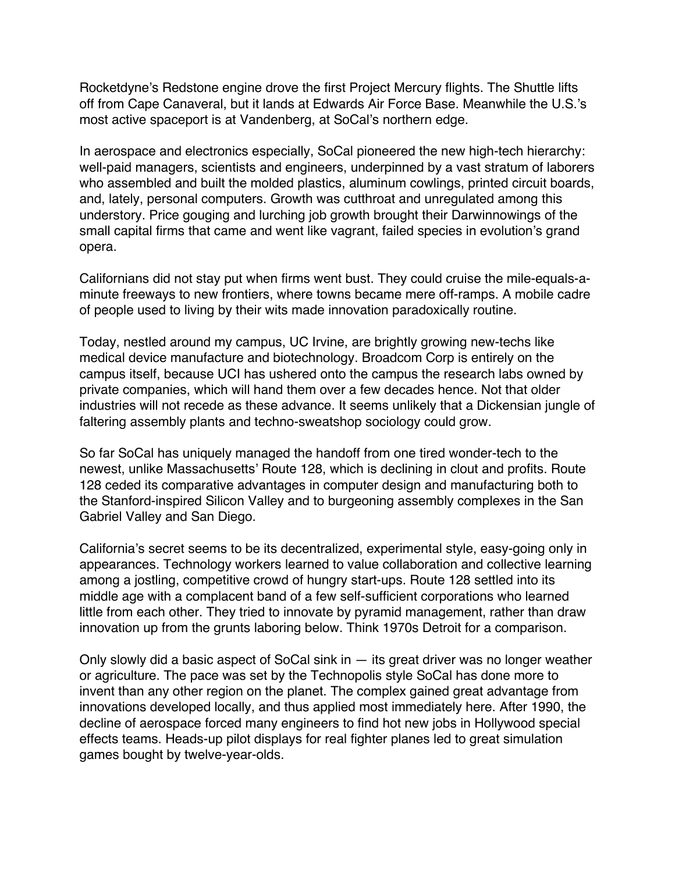Rocketdyne's Redstone engine drove the first Project Mercury flights. The Shuttle lifts off from Cape Canaveral, but it lands at Edwards Air Force Base. Meanwhile the U.S.'s most active spaceport is at Vandenberg, at SoCal's northern edge.

In aerospace and electronics especially, SoCal pioneered the new high-tech hierarchy: well-paid managers, scientists and engineers, underpinned by a vast stratum of laborers who assembled and built the molded plastics, aluminum cowlings, printed circuit boards, and, lately, personal computers. Growth was cutthroat and unregulated among this understory. Price gouging and lurching job growth brought their Darwinnowings of the small capital firms that came and went like vagrant, failed species in evolution's grand opera.

Californians did not stay put when firms went bust. They could cruise the mile-equals-aminute freeways to new frontiers, where towns became mere off-ramps. A mobile cadre of people used to living by their wits made innovation paradoxically routine.

Today, nestled around my campus, UC Irvine, are brightly growing new-techs like medical device manufacture and biotechnology. Broadcom Corp is entirely on the campus itself, because UCI has ushered onto the campus the research labs owned by private companies, which will hand them over a few decades hence. Not that older industries will not recede as these advance. It seems unlikely that a Dickensian jungle of faltering assembly plants and techno-sweatshop sociology could grow.

So far SoCal has uniquely managed the handoff from one tired wonder-tech to the newest, unlike Massachusetts' Route 128, which is declining in clout and profits. Route 128 ceded its comparative advantages in computer design and manufacturing both to the Stanford-inspired Silicon Valley and to burgeoning assembly complexes in the San Gabriel Valley and San Diego.

California's secret seems to be its decentralized, experimental style, easy-going only in appearances. Technology workers learned to value collaboration and collective learning among a jostling, competitive crowd of hungry start-ups. Route 128 settled into its middle age with a complacent band of a few self-sufficient corporations who learned little from each other. They tried to innovate by pyramid management, rather than draw innovation up from the grunts laboring below. Think 1970s Detroit for a comparison.

Only slowly did a basic aspect of SoCal sink in  $-$  its great driver was no longer weather or agriculture. The pace was set by the Technopolis style SoCal has done more to invent than any other region on the planet. The complex gained great advantage from innovations developed locally, and thus applied most immediately here. After 1990, the decline of aerospace forced many engineers to find hot new jobs in Hollywood special effects teams. Heads-up pilot displays for real fighter planes led to great simulation games bought by twelve-year-olds.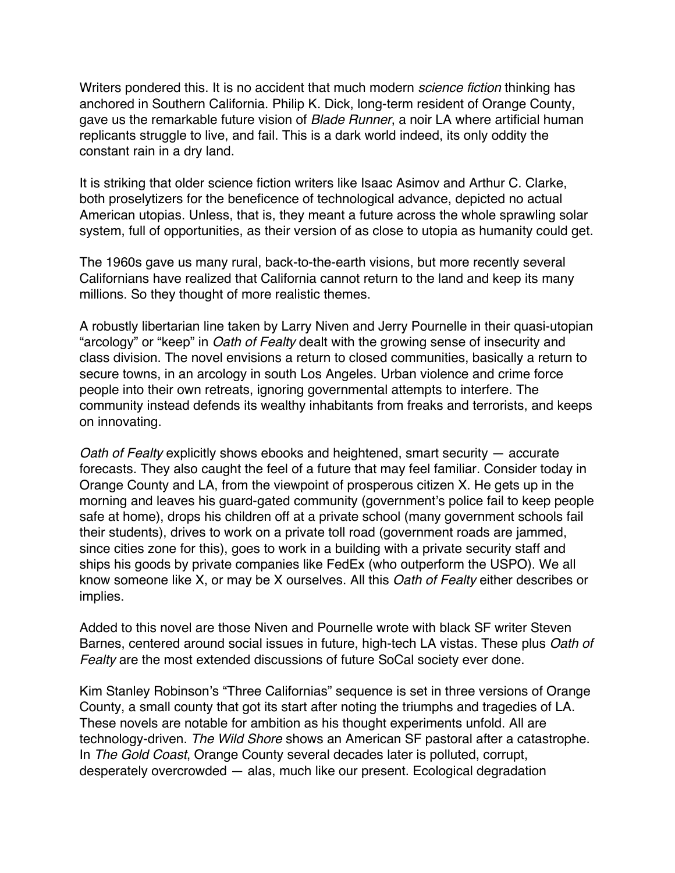Writers pondered this. It is no accident that much modern *science fiction* thinking has anchored in Southern California. Philip K. Dick, long-term resident of Orange County, gave us the remarkable future vision of *Blade Runner*, a noir LA where artificial human replicants struggle to live, and fail. This is a dark world indeed, its only oddity the constant rain in a dry land.

It is striking that older science fiction writers like Isaac Asimov and Arthur C. Clarke, both proselytizers for the beneficence of technological advance, depicted no actual American utopias. Unless, that is, they meant a future across the whole sprawling solar system, full of opportunities, as their version of as close to utopia as humanity could get.

The 1960s gave us many rural, back-to-the-earth visions, but more recently several Californians have realized that California cannot return to the land and keep its many millions. So they thought of more realistic themes.

A robustly libertarian line taken by Larry Niven and Jerry Pournelle in their quasi-utopian "arcology" or "keep" in *Oath of Fealty* dealt with the growing sense of insecurity and class division. The novel envisions a return to closed communities, basically a return to secure towns, in an arcology in south Los Angeles. Urban violence and crime force people into their own retreats, ignoring governmental attempts to interfere. The community instead defends its wealthy inhabitants from freaks and terrorists, and keeps on innovating.

*Oath of Fealty* explicitly shows ebooks and heightened, smart security — accurate forecasts. They also caught the feel of a future that may feel familiar. Consider today in Orange County and LA, from the viewpoint of prosperous citizen X. He gets up in the morning and leaves his guard-gated community (government's police fail to keep people safe at home), drops his children off at a private school (many government schools fail their students), drives to work on a private toll road (government roads are jammed, since cities zone for this), goes to work in a building with a private security staff and ships his goods by private companies like FedEx (who outperform the USPO). We all know someone like X, or may be X ourselves. All this *Oath of Fealty* either describes or implies.

Added to this novel are those Niven and Pournelle wrote with black SF writer Steven Barnes, centered around social issues in future, high-tech LA vistas. These plus *Oath of Fealty* are the most extended discussions of future SoCal society ever done.

Kim Stanley Robinson's "Three Californias" sequence is set in three versions of Orange County, a small county that got its start after noting the triumphs and tragedies of LA. These novels are notable for ambition as his thought experiments unfold. All are technology-driven. *The Wild Shore* shows an American SF pastoral after a catastrophe. In *The Gold Coast*, Orange County several decades later is polluted, corrupt, desperately overcrowded — alas, much like our present. Ecological degradation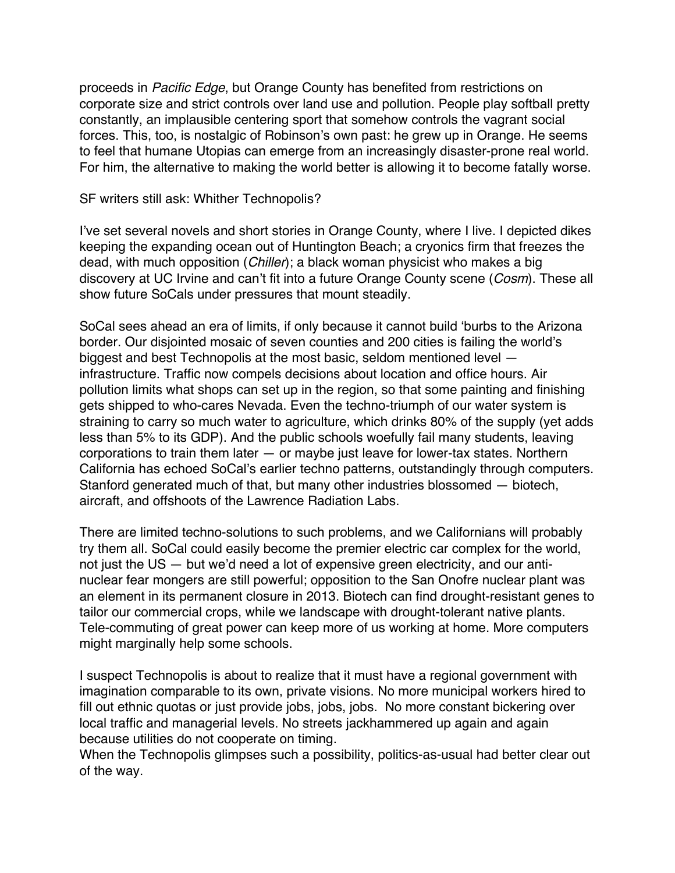proceeds in *Pacific Edge*, but Orange County has benefited from restrictions on corporate size and strict controls over land use and pollution. People play softball pretty constantly, an implausible centering sport that somehow controls the vagrant social forces. This, too, is nostalgic of Robinson's own past: he grew up in Orange. He seems to feel that humane Utopias can emerge from an increasingly disaster-prone real world. For him, the alternative to making the world better is allowing it to become fatally worse.

#### SF writers still ask: Whither Technopolis?

I've set several novels and short stories in Orange County, where I live. I depicted dikes keeping the expanding ocean out of Huntington Beach; a cryonics firm that freezes the dead, with much opposition (*Chiller*); a black woman physicist who makes a big discovery at UC Irvine and can't fit into a future Orange County scene (*Cosm*). These all show future SoCals under pressures that mount steadily.

SoCal sees ahead an era of limits, if only because it cannot build ʻburbs to the Arizona border. Our disjointed mosaic of seven counties and 200 cities is failing the world's biggest and best Technopolis at the most basic, seldom mentioned level infrastructure. Traffic now compels decisions about location and office hours. Air pollution limits what shops can set up in the region, so that some painting and finishing gets shipped to who-cares Nevada. Even the techno-triumph of our water system is straining to carry so much water to agriculture, which drinks 80% of the supply (yet adds less than 5% to its GDP). And the public schools woefully fail many students, leaving corporations to train them later — or maybe just leave for lower-tax states. Northern California has echoed SoCal's earlier techno patterns, outstandingly through computers. Stanford generated much of that, but many other industries blossomed — biotech, aircraft, and offshoots of the Lawrence Radiation Labs.

There are limited techno-solutions to such problems, and we Californians will probably try them all. SoCal could easily become the premier electric car complex for the world, not just the US — but we'd need a lot of expensive green electricity, and our antinuclear fear mongers are still powerful; opposition to the San Onofre nuclear plant was an element in its permanent closure in 2013. Biotech can find drought-resistant genes to tailor our commercial crops, while we landscape with drought-tolerant native plants. Tele-commuting of great power can keep more of us working at home. More computers might marginally help some schools.

I suspect Technopolis is about to realize that it must have a regional government with imagination comparable to its own, private visions. No more municipal workers hired to fill out ethnic quotas or just provide jobs, jobs, jobs. No more constant bickering over local traffic and managerial levels. No streets jackhammered up again and again because utilities do not cooperate on timing.

When the Technopolis glimpses such a possibility, politics-as-usual had better clear out of the way.